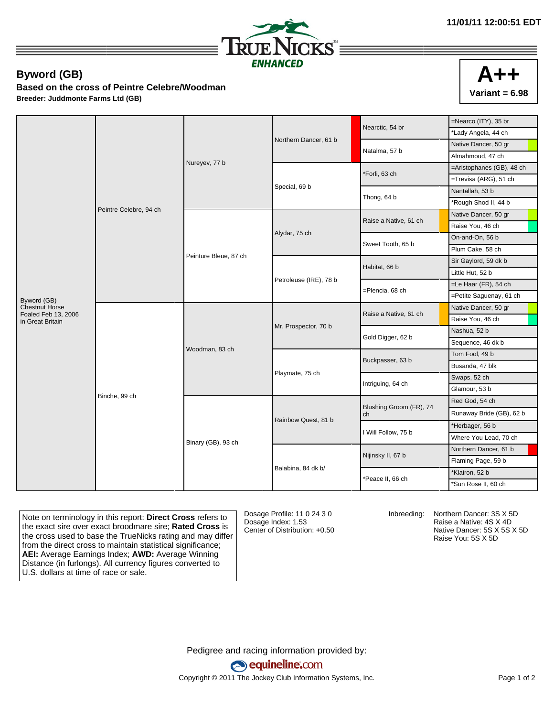

## **Byword (GB)**

**Based on the cross of Peintre Celebre/Woodman Breeder: Juddmonte Farms Ltd (GB)**

|                                              | Peintre Celebre, 94 ch | Nureyev, 77 b         |                        | Nearctic, 54 br               | =Nearco (ITY), 35 br      |
|----------------------------------------------|------------------------|-----------------------|------------------------|-------------------------------|---------------------------|
|                                              |                        |                       |                        |                               | *Lady Angela, 44 ch       |
|                                              |                        |                       | Northern Dancer, 61 b  | Natalma, 57 b                 | Native Dancer, 50 gr      |
|                                              |                        |                       |                        |                               | Almahmoud, 47 ch          |
|                                              |                        |                       |                        | *Forli, 63 ch                 | =Aristophanes (GB), 48 ch |
|                                              |                        |                       |                        |                               | =Trevisa (ARG), 51 ch     |
|                                              |                        |                       | Special, 69 b          | Thong, 64 b                   | Nantallah, 53 b           |
|                                              |                        |                       |                        |                               | *Rough Shod II, 44 b      |
|                                              |                        | Peinture Bleue, 87 ch |                        | Raise a Native, 61 ch         | Native Dancer, 50 gr      |
|                                              |                        |                       |                        |                               | Raise You, 46 ch          |
|                                              |                        |                       | Alydar, 75 ch          | Sweet Tooth, 65 b             | On-and-On, 56 b           |
|                                              |                        |                       |                        |                               | Plum Cake, 58 ch          |
|                                              |                        |                       |                        | Habitat, 66 b                 | Sir Gaylord, 59 dk b      |
|                                              |                        |                       | Petroleuse (IRE), 78 b |                               | Little Hut, 52 b          |
|                                              |                        |                       |                        | =Plencia, 68 ch               | =Le Haar (FR), 54 ch      |
| Byword (GB)                                  |                        |                       |                        |                               | =Petite Saguenay, 61 ch   |
| <b>Chestnut Horse</b><br>Foaled Feb 13, 2006 | Binche, 99 ch          |                       |                        | Raise a Native, 61 ch         | Native Dancer, 50 gr      |
| in Great Britain                             |                        | Woodman, 83 ch        |                        |                               | Raise You, 46 ch          |
|                                              |                        |                       | Mr. Prospector, 70 b   | Gold Digger, 62 b             | Nashua, 52 b              |
|                                              |                        |                       |                        |                               | Sequence, 46 dk b         |
|                                              |                        |                       |                        | Buckpasser, 63 b              | Tom Fool, 49 b            |
|                                              |                        |                       |                        |                               | Busanda, 47 blk           |
|                                              |                        |                       | Playmate, 75 ch        | Intriguing, 64 ch             | Swaps, 52 ch              |
|                                              |                        |                       |                        |                               | Glamour, 53 b             |
|                                              |                        | Binary (GB), 93 ch    |                        | Blushing Groom (FR), 74<br>ch | Red God, 54 ch            |
|                                              |                        |                       | Rainbow Quest, 81 b    |                               | Runaway Bride (GB), 62 b  |
|                                              |                        |                       |                        | I Will Follow, 75 b           | *Herbager, 56 b           |
|                                              |                        |                       |                        |                               | Where You Lead, 70 ch     |
|                                              |                        |                       |                        |                               | Northern Dancer, 61 b     |
|                                              |                        |                       |                        | Nijinsky II, 67 b             | Flaming Page, 59 b        |
|                                              |                        |                       | Balabina, 84 dk b/     | *Peace II, 66 ch              | *Klairon, 52 b            |
|                                              |                        |                       |                        |                               | *Sun Rose II, 60 ch       |

Note on terminology in this report: **Direct Cross** refers to the exact sire over exact broodmare sire; **Rated Cross** is the cross used to base the TrueNicks rating and may differ from the direct cross to maintain statistical significance; **AEI:** Average Earnings Index; **AWD:** Average Winning Distance (in furlongs). All currency figures converted to U.S. dollars at time of race or sale.

Dosage Profile: 11 0 24 3 0 Dosage Index: 1.53 Center of Distribution: +0.50

Inbreeding: Northern Dancer: 3S X 5D Raise a Native: 4S X 4D Native Dancer: 5S X 5S X 5D Raise You: 5S X 5D